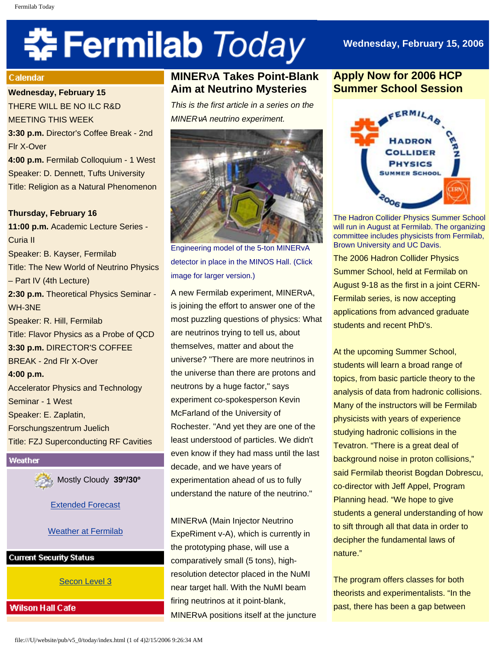# 축 Fermilab Today

# **Wednesday, February 15, 2006**

#### Calendar

**Wednesday, February 15**

THERE WILL BE NO ILC R&D MEETING THIS WEEK **3:30 p.m.** Director's Coffee Break - 2nd

Flr X-Over

**4:00 p.m.** Fermilab Colloquium - 1 West Speaker: D. Dennett, Tufts University Title: Religion as a Natural Phenomenon

**Thursday, February 16 11:00 p.m.** Academic Lecture Series - Curia II Speaker: B. Kayser, Fermilab Title: The New World of Neutrino Physics – Part IV (4th Lecture) **2:30 p.m.** Theoretical Physics Seminar - WH-3NE Speaker: R. Hill, Fermilab Title: Flavor Physics as a Probe of QCD **3:30 p.m.** DIRECTOR'S COFFEE BREAK - 2nd Flr X-Over **4:00 p.m.** Accelerator Physics and Technology Seminar - 1 West Speaker: E. Zaplatin, Forschungszentrum Juelich Title: FZJ Superconducting RF Cavities

Weather

Mostly Cloudy **39º/30º**

[Extended Forecast](http://www.srh.noaa.gov/data/forecasts/ILZ012.php?warncounty=ILC089&city=Batavia)

# [Weather at Fermilab](http://www-esh.fnal.gov/pls/default/weather.html)

**Current Security Status** 

[Secon Level 3](http://www.fnal.gov/pub/about/public_affairs/currentstatus.html)

# **Wilson Hall Cafe**

# **MINER**ν**A Takes Point-Blank Aim at Neutrino Mysteries**

*This is the first article in a series on the MINER*ν*A neutrino experiment.*



Engineering model of the 5-ton MINERvA detector in place in the MINOS Hall. (Click image for larger version.)

A new Fermilab experiment, MINERνA, is joining the effort to answer one of the most puzzling questions of physics: What are neutrinos trying to tell us, about themselves, matter and about the universe? "There are more neutrinos in the universe than there are protons and neutrons by a huge factor," says experiment co-spokesperson Kevin McFarland of the University of Rochester. "And yet they are one of the least understood of particles. We didn't even know if they had mass until the last decade, and we have years of experimentation ahead of us to fully understand the nature of the neutrino."

MINERνA (Main Injector Neutrino ExpeRiment v-A), which is currently in the prototyping phase, will use a comparatively small (5 tons), highresolution detector placed in the NuMI near target hall. With the NuMI beam firing neutrinos at it point-blank, MINERνA positions itself at the juncture

# **Apply Now for 2006 HCP Summer School Session**



The Hadron Collider Physics Summer School will run in August at Fermilab. The organizing committee includes physicists from Fermilab, Brown University and UC Davis.

The 2006 Hadron Collider Physics Summer School, held at Fermilab on August 9-18 as the first in a joint CERN-Fermilab series, is now accepting applications from advanced graduate students and recent PhD's.

At the upcoming Summer School, students will learn a broad range of topics, from basic particle theory to the analysis of data from hadronic collisions. Many of the instructors will be Fermilab physicists with years of experience studying hadronic collisions in the Tevatron. "There is a great deal of background noise in proton collisions," said Fermilab theorist Bogdan Dobrescu, co-director with Jeff Appel, Program Planning head. "We hope to give students a general understanding of how to sift through all that data in order to decipher the fundamental laws of nature."

The program offers classes for both theorists and experimentalists. "In the past, there has been a gap between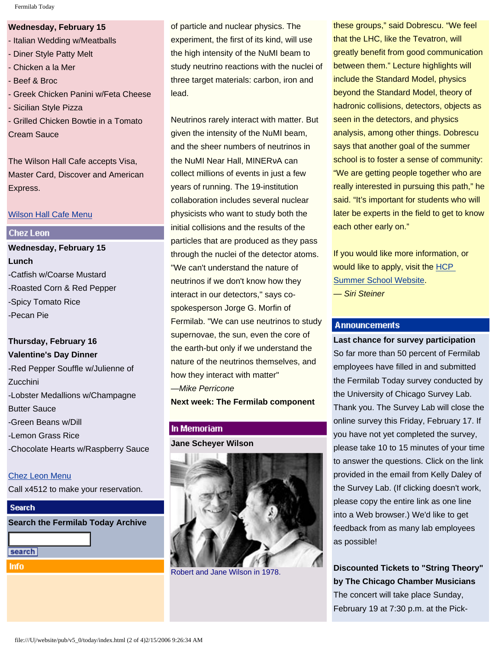#### **Wednesday, February 15**

- Italian Wedding w/Meatballs
- Diner Style Patty Melt
- Chicken a la Mer
- Beef & Broc
- Greek Chicken Panini w/Feta Cheese
- Sicilian Style Pizza
- Grilled Chicken Bowtie in a Tomato Cream Sauce

The Wilson Hall Cafe accepts Visa, Master Card, Discover and American Express.

#### [Wilson Hall Cafe Menu](http://lss.fnal.gov/cafe/)

### **Chez Leon**

**Wednesday, February 15 Lunch** -Catfish w/Coarse Mustard -Roasted Corn & Red Pepper -Spicy Tomato Rice -Pecan Pie

# **Thursday, February 16 Valentine's Day Dinner**

-Red Pepper Souffle w/Julienne of **Zucchini** -Lobster Medallions w/Champagne Butter Sauce -Green Beans w/Dill -Lemon Grass Rice -Chocolate Hearts w/Raspberry Sauce

## [Chez Leon Menu](http://lss.fnal.gov/chezleon/index.html)

Call x4512 to make your reservation.

# **Search**

**Search the Fermilab Today Archive**

```
search
```
**Info** 

of particle and nuclear physics. The experiment, the first of its kind, will use the high intensity of the NuMI beam to study neutrino reactions with the nuclei of three target materials: carbon, iron and lead.

Neutrinos rarely interact with matter. But given the intensity of the NuMI beam, and the sheer numbers of neutrinos in the NuMI Near Hall, MINERνA can collect millions of events in just a few years of running. The 19-institution collaboration includes several nuclear physicists who want to study both the initial collisions and the results of the particles that are produced as they pass through the nuclei of the detector atoms. "We can't understand the nature of neutrinos if we don't know how they interact in our detectors," says cospokesperson Jorge G. Morfin of Fermilab. "We can use neutrinos to study supernovae, the sun, even the core of the earth-but only if we understand the nature of the neutrinos themselves, and how they interact with matter" —*Mike Perricone* **Next week: The Fermilab component**

#### In Memoriam

**Jane Scheyer Wilson**



Robert and Jane Wilson in 1978.

these groups," said Dobrescu. "We feel that the LHC, like the Tevatron, will greatly benefit from good communication between them." Lecture highlights will include the Standard Model, physics beyond the Standard Model, theory of hadronic collisions, detectors, objects as seen in the detectors, and physics analysis, among other things. Dobrescu says that another goal of the summer school is to foster a sense of community: "We are getting people together who are really interested in pursuing this path," he said. "It's important for students who will later be experts in the field to get to know each other early on."

If you would like more information, or would like to apply, visit the [HCP](http://hcpss.fnal.gov/) [Summer School Website.](http://hcpss.fnal.gov/) *— Siri Steiner*

# **Announcements**

**Last chance for survey participation** So far more than 50 percent of Fermilab employees have filled in and submitted the Fermilab Today survey conducted by the University of Chicago Survey Lab. Thank you. The Survey Lab will close the online survey this Friday, February 17. If you have not yet completed the survey, please take 10 to 15 minutes of your time to answer the questions. Click on the link provided in the email from Kelly Daley of the Survey Lab. (If clicking doesn't work, please copy the entire link as one line into a Web browser.) We'd like to get feedback from as many lab employees as possible!

**Discounted Tickets to "String Theory" by The Chicago Chamber Musicians** The concert will take place Sunday, February 19 at 7:30 p.m. at the Pick-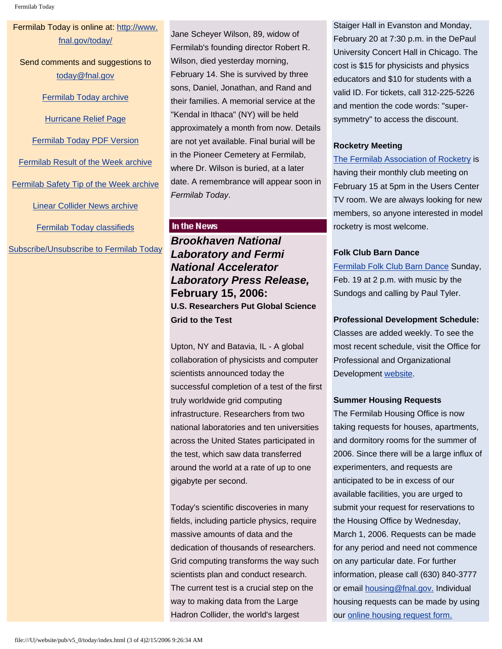# Fermilab Today is online at: [http://www.](http://www.fnal.gov/today/) [fnal.gov/today/](http://www.fnal.gov/today/)

Send comments and suggestions to [today@fnal.gov](mailto:today@fnal.gov)

#### [Fermilab Today archive](http://www.fnal.gov/pub/today/archive.html)

[Hurricane Relief Page](http://www.fnal.gov/pub/today/katrina_relief.html)

[Fermilab Today PDF Version](http://www.fnal.gov/pub/today/archive.html)

[Fermilab Result of the Week archive](http://www.fnal.gov/pub/today/resultoftheweek/index.html)

[Fermilab Safety Tip of the Week archive](http://www.fnal.gov/pub/today/safety/index.html)

[Linear Collider News archive](http://www.fnal.gov/pub/today/linearcollider/index.html)

[Fermilab Today classifieds](http://www.fnal.gov/pub/today/classifieds.html)

[Subscribe/Unsubscribe to Fermilab Today](http://www.fnal.gov/pub/today/subscription.html)

Jane Scheyer Wilson, 89, widow of Fermilab's founding director Robert R. Wilson, died yesterday morning, February 14. She is survived by three sons, Daniel, Jonathan, and Rand and their families. A memorial service at the "Kendal in Ithaca" (NY) will be held approximately a month from now. Details are not yet available. Final burial will be in the Pioneer Cemetery at Fermilab, where Dr. Wilson is buried, at a later date. A remembrance will appear soon in *Fermilab Today*.

# In the News

*Brookhaven National Laboratory and Fermi National Accelerator Laboratory Press Release,* **February 15, 2006: U.S. Researchers Put Global Science Grid to the Test** 

Upton, NY and Batavia, IL - A global collaboration of physicists and computer scientists announced today the successful completion of a test of the first truly worldwide grid computing infrastructure. Researchers from two national laboratories and ten universities across the United States participated in the test, which saw data transferred around the world at a rate of up to one gigabyte per second.

Today's scientific discoveries in many fields, including particle physics, require massive amounts of data and the dedication of thousands of researchers. Grid computing transforms the way such scientists plan and conduct research. The current test is a crucial step on the way to making data from the Large Hadron Collider, the world's largest

Staiger Hall in Evanston and Monday, February 20 at 7:30 p.m. in the DePaul University Concert Hall in Chicago. The cost is \$15 for physicists and physics educators and \$10 for students with a valid ID. For tickets, call 312-225-5226 and mention the code words: "supersymmetry" to access the discount.

# **Rocketry Meeting**

[The Fermilab Association of Rocketry](http://www.fnal.gov/orgs/far) is having their monthly club meeting on February 15 at 5pm in the Users Center TV room. We are always looking for new members, so anyone interested in model rocketry is most welcome.

## **Folk Club Barn Dance**

[Fermilab Folk Club Barn Dance](http://www.fnal.gov/orgs/folkclub/) Sunday, Feb. 19 at 2 p.m. with music by the Sundogs and calling by Paul Tyler.

## **Professional Development Schedule:**

Classes are added weekly. To see the most recent schedule, visit the Office for Professional and Organizational Development [website](http://lss.fnal.gov/train-dev/index.html).

## **Summer Housing Requests**

The Fermilab Housing Office is now taking requests for houses, apartments, and dormitory rooms for the summer of 2006. Since there will be a large influx of experimenters, and requests are anticipated to be in excess of our available facilities, you are urged to submit your request for reservations to the Housing Office by Wednesday, March 1, 2006. Requests can be made for any period and need not commence on any particular date. For further information, please call (630) 840-3777 or email [housing@fnal.gov.](mailto:housing@fnal.gov) Individual housing requests can be made by using our [online housing request form.](http://lss.fnal.gov/housing/housing_request.html)